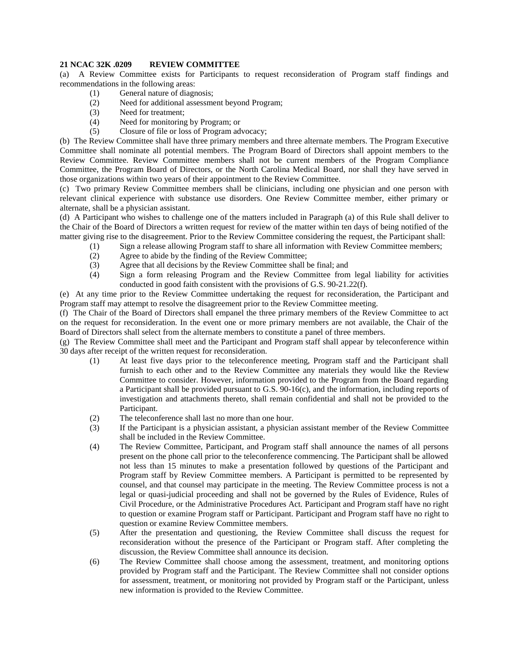## **21 NCAC 32K .0209 REVIEW COMMITTEE**

(a) A Review Committee exists for Participants to request reconsideration of Program staff findings and recommendations in the following areas:

- (1) General nature of diagnosis;
- (2) Need for additional assessment beyond Program;
- (3) Need for treatment;
- (4) Need for monitoring by Program; or
- (5) Closure of file or loss of Program advocacy;

(b) The Review Committee shall have three primary members and three alternate members. The Program Executive Committee shall nominate all potential members. The Program Board of Directors shall appoint members to the Review Committee. Review Committee members shall not be current members of the Program Compliance Committee, the Program Board of Directors, or the North Carolina Medical Board, nor shall they have served in those organizations within two years of their appointment to the Review Committee.

(c) Two primary Review Committee members shall be clinicians, including one physician and one person with relevant clinical experience with substance use disorders. One Review Committee member, either primary or alternate, shall be a physician assistant.

(d) A Participant who wishes to challenge one of the matters included in Paragraph (a) of this Rule shall deliver to the Chair of the Board of Directors a written request for review of the matter within ten days of being notified of the matter giving rise to the disagreement. Prior to the Review Committee considering the request, the Participant shall:

- (1) Sign a release allowing Program staff to share all information with Review Committee members;
	- (2) Agree to abide by the finding of the Review Committee;
	- (3) Agree that all decisions by the Review Committee shall be final; and
	- (4) Sign a form releasing Program and the Review Committee from legal liability for activities conducted in good faith consistent with the provisions of G.S. 90-21.22(f).

(e) At any time prior to the Review Committee undertaking the request for reconsideration, the Participant and Program staff may attempt to resolve the disagreement prior to the Review Committee meeting.

(f) The Chair of the Board of Directors shall empanel the three primary members of the Review Committee to act on the request for reconsideration. In the event one or more primary members are not available, the Chair of the Board of Directors shall select from the alternate members to constitute a panel of three members.

(g) The Review Committee shall meet and the Participant and Program staff shall appear by teleconference within 30 days after receipt of the written request for reconsideration.

- (1) At least five days prior to the teleconference meeting, Program staff and the Participant shall furnish to each other and to the Review Committee any materials they would like the Review Committee to consider. However, information provided to the Program from the Board regarding a Participant shall be provided pursuant to G.S. 90-16(c), and the information, including reports of investigation and attachments thereto, shall remain confidential and shall not be provided to the Participant.
- (2) The teleconference shall last no more than one hour.
- (3) If the Participant is a physician assistant, a physician assistant member of the Review Committee shall be included in the Review Committee.
- (4) The Review Committee, Participant, and Program staff shall announce the names of all persons present on the phone call prior to the teleconference commencing. The Participant shall be allowed not less than 15 minutes to make a presentation followed by questions of the Participant and Program staff by Review Committee members. A Participant is permitted to be represented by counsel, and that counsel may participate in the meeting. The Review Committee process is not a legal or quasi-judicial proceeding and shall not be governed by the Rules of Evidence, Rules of Civil Procedure, or the Administrative Procedures Act. Participant and Program staff have no right to question or examine Program staff or Participant. Participant and Program staff have no right to question or examine Review Committee members.
- (5) After the presentation and questioning, the Review Committee shall discuss the request for reconsideration without the presence of the Participant or Program staff. After completing the discussion, the Review Committee shall announce its decision.
- (6) The Review Committee shall choose among the assessment, treatment, and monitoring options provided by Program staff and the Participant. The Review Committee shall not consider options for assessment, treatment, or monitoring not provided by Program staff or the Participant, unless new information is provided to the Review Committee.